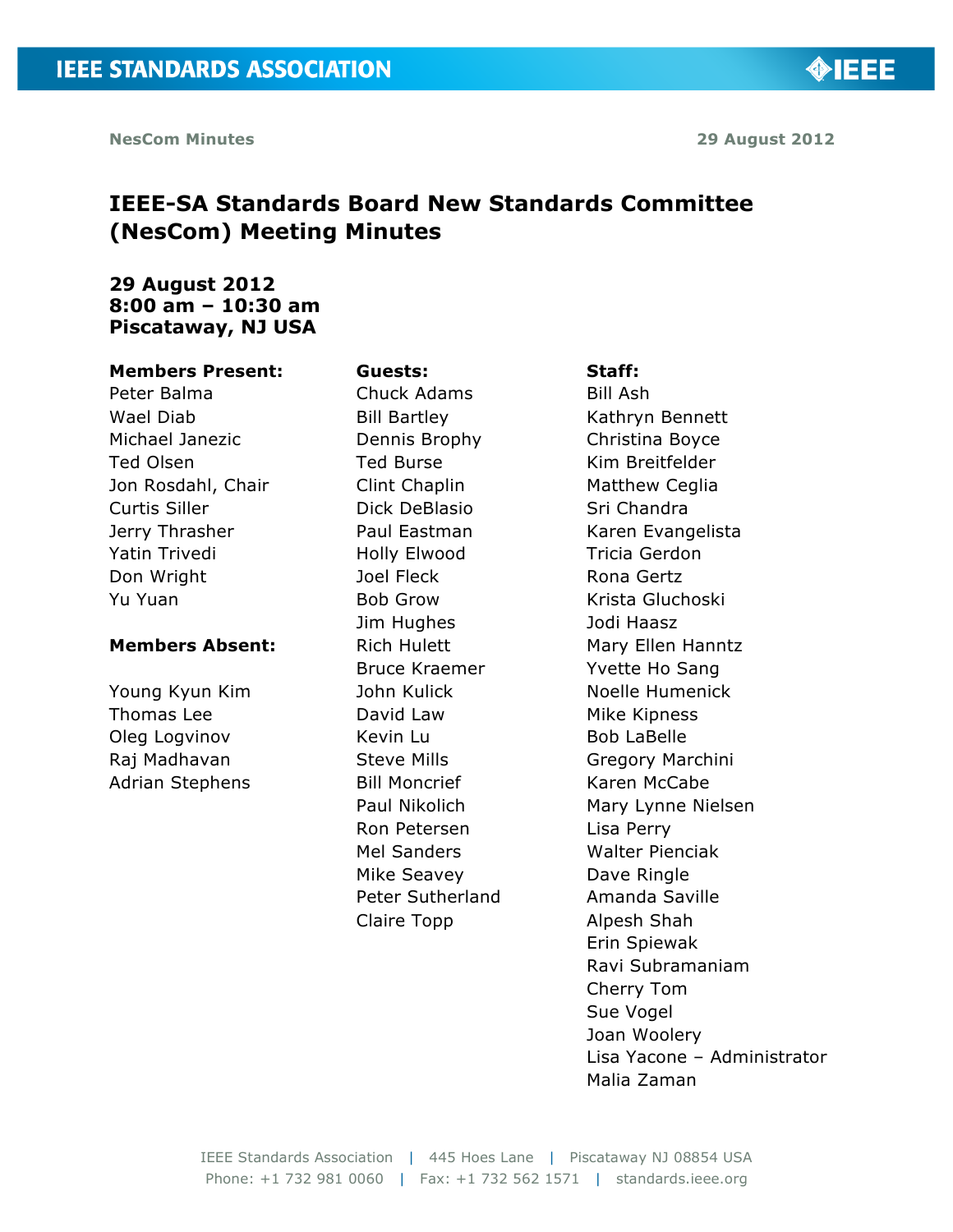**OBJEE** 

# **IEEE-SA Standards Board New Standards Committee (NesCom) Meeting Minutes**

# **29 August 2012 8:00 am – 10:30 am Piscataway, NJ USA**

#### **Members Present:**

Peter Balma Wael Diab Michael Janezic Ted Olsen Jon Rosdahl, Chair Curtis Siller Jerry Thrasher Yatin Trivedi Don Wright Yu Yuan

#### **Members Absent:**

Young Kyun Kim Thomas Lee Oleg Logvinov Raj Madhavan Adrian Stephens

**Guests:** Chuck Adams Bill Bartley Dennis Brophy Ted Burse Clint Chaplin Dick DeBlasio Paul Eastman Holly Elwood Joel Fleck Bob Grow Jim Hughes Rich Hulett Bruce Kraemer John Kulick David Law Kevin Lu Steve Mills Bill Moncrief Paul Nikolich Ron Petersen Mel Sanders Mike Seavey Peter Sutherland Claire Topp

#### **Staff:**

Bill Ash Kathryn Bennett Christina Boyce Kim Breitfelder Matthew Ceglia Sri Chandra Karen Evangelista Tricia Gerdon Rona Gertz Krista Gluchoski Jodi Haasz Mary Ellen Hanntz Yvette Ho Sang Noelle Humenick Mike Kipness Bob LaBelle Gregory Marchini Karen McCabe Mary Lynne Nielsen Lisa Perry Walter Pienciak Dave Ringle Amanda Saville Alpesh Shah Erin Spiewak Ravi Subramaniam Cherry Tom Sue Vogel Joan Woolery Lisa Yacone – Administrator Malia Zaman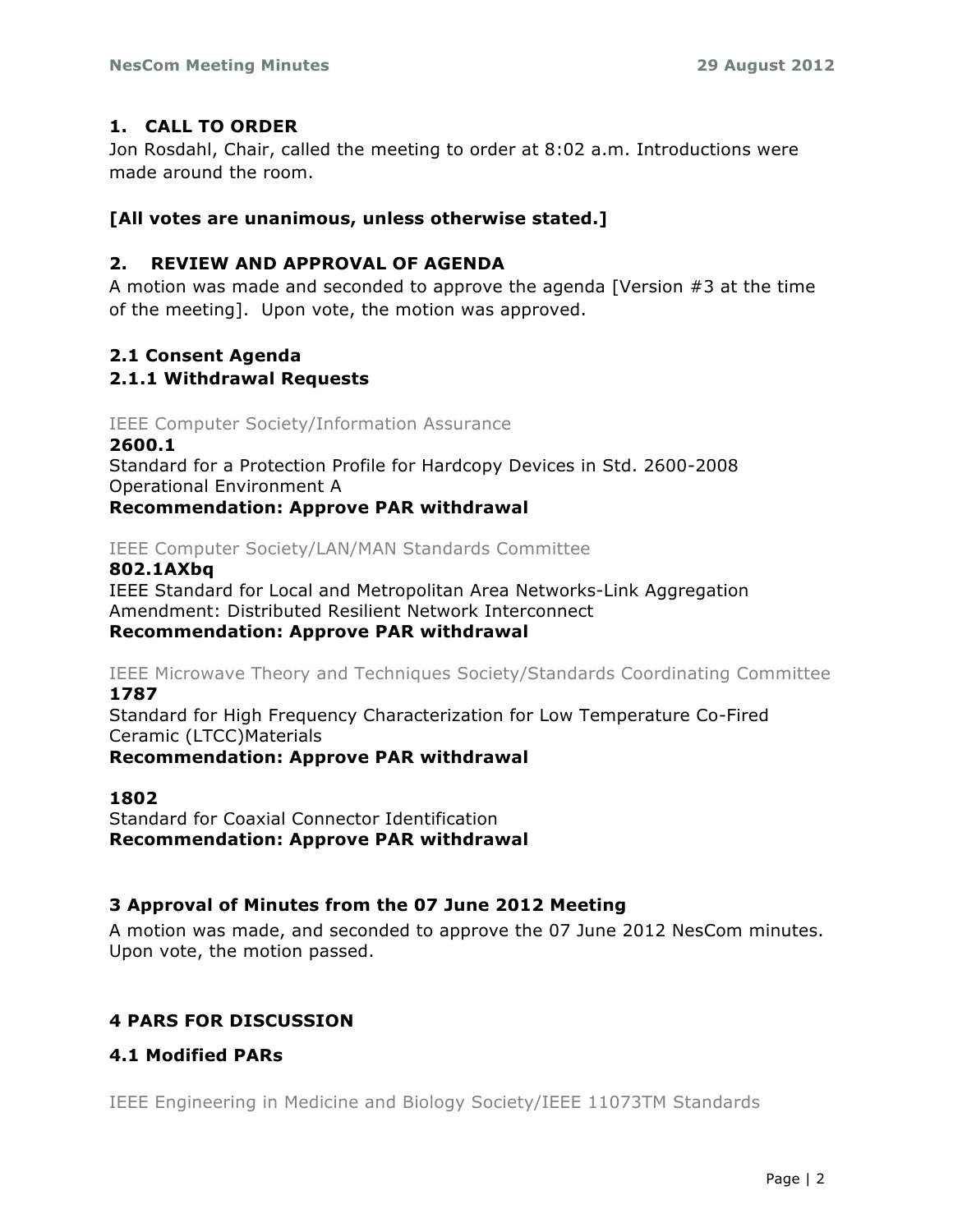# **1. CALL TO ORDER**

Jon Rosdahl, Chair, called the meeting to order at 8:02 a.m. Introductions were made around the room.

# **[All votes are unanimous, unless otherwise stated.]**

# **2. REVIEW AND APPROVAL OF AGENDA**

A motion was made and seconded to approve the agenda [Version #3 at the time of the meeting]. Upon vote, the motion was approved.

# **2.1 Consent Agenda**

# **2.1.1 Withdrawal Requests**

# IEEE Computer Society/Information Assurance

## **2600.1**

Standard for a Protection Profile for Hardcopy Devices in Std. 2600-2008 Operational Environment A

# **Recommendation: Approve PAR withdrawal**

# IEEE Computer Society/LAN/MAN Standards Committee

## **802.1AXbq**

IEEE Standard for Local and Metropolitan Area Networks-Link Aggregation Amendment: Distributed Resilient Network Interconnect **Recommendation: Approve PAR withdrawal**

IEEE Microwave Theory and Techniques Society/Standards Coordinating Committee **1787**

Standard for High Frequency Characterization for Low Temperature Co-Fired Ceramic (LTCC)Materials

**Recommendation: Approve PAR withdrawal**

## **1802**

Standard for Coaxial Connector Identification **Recommendation: Approve PAR withdrawal**

# **3 Approval of Minutes from the 07 June 2012 Meeting**

A motion was made, and seconded to approve the 07 June 2012 NesCom minutes. Upon vote, the motion passed.

# **4 PARS FOR DISCUSSION**

# **4.1 Modified PARs**

IEEE Engineering in Medicine and Biology Society/IEEE 11073TM Standards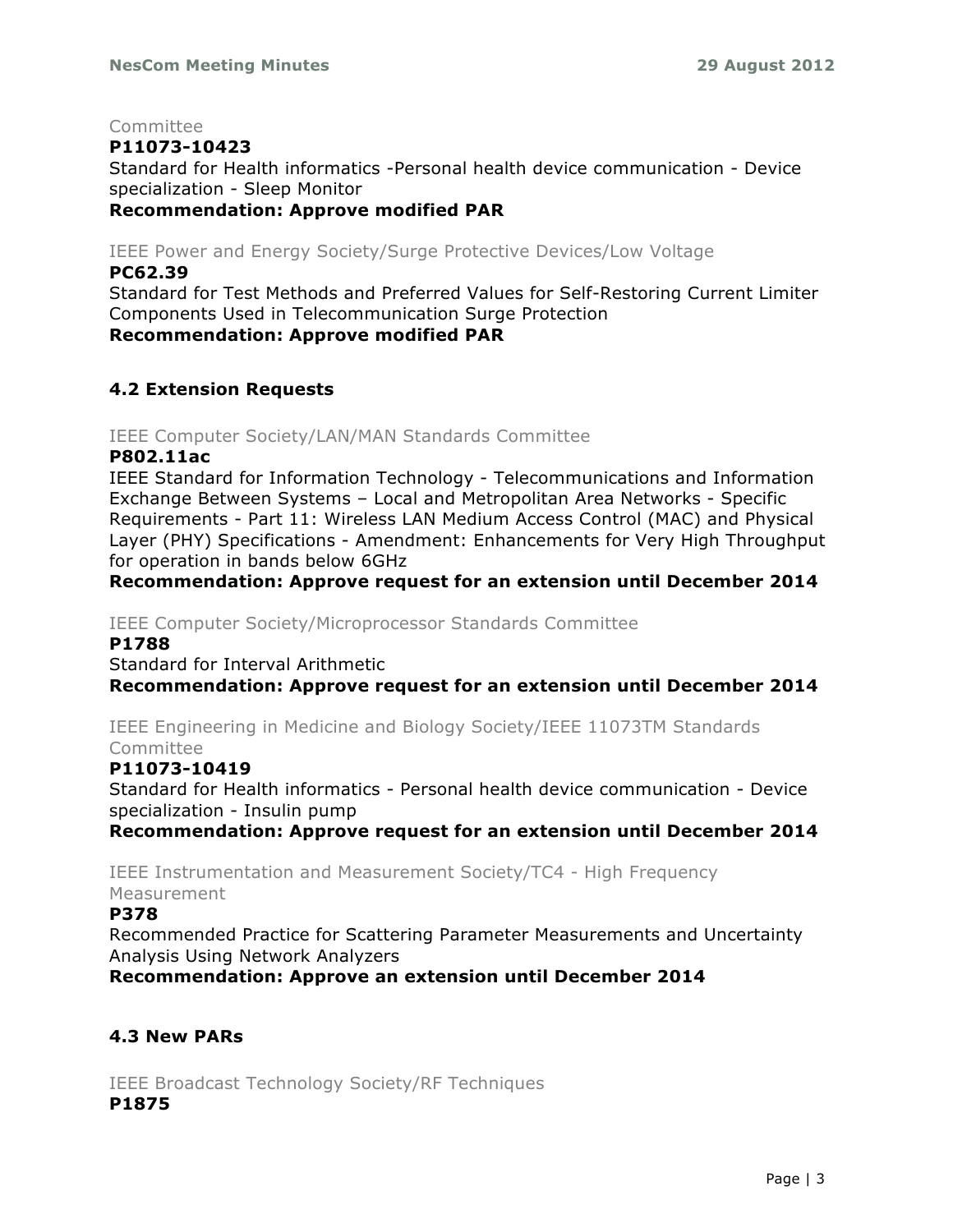Committee

## **P11073-10423**

Standard for Health informatics -Personal health device communication - Device specialization - Sleep Monitor

## **Recommendation: Approve modified PAR**

IEEE Power and Energy Society/Surge Protective Devices/Low Voltage

#### **PC62.39**

Standard for Test Methods and Preferred Values for Self-Restoring Current Limiter Components Used in Telecommunication Surge Protection **Recommendation: Approve modified PAR**

# **4.2 Extension Requests**

IEEE Computer Society/LAN/MAN Standards Committee

#### **P802.11ac**

IEEE Standard for Information Technology - Telecommunications and Information Exchange Between Systems – Local and Metropolitan Area Networks - Specific Requirements - Part 11: Wireless LAN Medium Access Control (MAC) and Physical Layer (PHY) Specifications - Amendment: Enhancements for Very High Throughput for operation in bands below 6GHz

## **Recommendation: Approve request for an extension until December 2014**

IEEE Computer Society/Microprocessor Standards Committee

#### **P1788**

Standard for Interval Arithmetic

**Recommendation: Approve request for an extension until December 2014**

IEEE Engineering in Medicine and Biology Society/IEEE 11073TM Standards Committee

#### **P11073-10419**

Standard for Health informatics - Personal health device communication - Device specialization - Insulin pump

**Recommendation: Approve request for an extension until December 2014**

IEEE Instrumentation and Measurement Society/TC4 - High Frequency Measurement

#### **P378**

Recommended Practice for Scattering Parameter Measurements and Uncertainty Analysis Using Network Analyzers

**Recommendation: Approve an extension until December 2014**

# **4.3 New PARs**

IEEE Broadcast Technology Society/RF Techniques **P1875**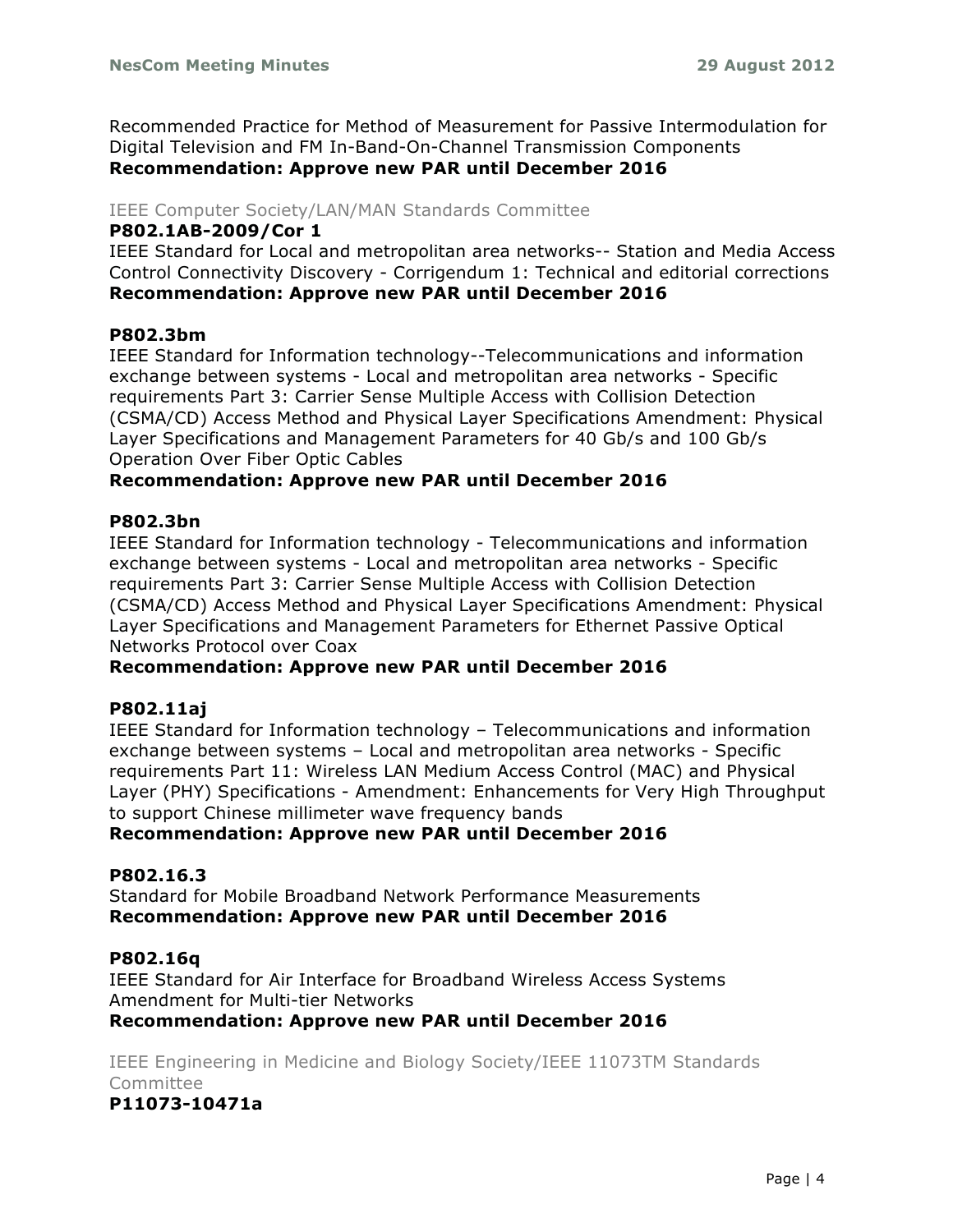Recommended Practice for Method of Measurement for Passive Intermodulation for Digital Television and FM In-Band-On-Channel Transmission Components **Recommendation: Approve new PAR until December 2016**

#### IEEE Computer Society/LAN/MAN Standards Committee

#### **P802.1AB-2009/Cor 1**

IEEE Standard for Local and metropolitan area networks-- Station and Media Access Control Connectivity Discovery - Corrigendum 1: Technical and editorial corrections **Recommendation: Approve new PAR until December 2016**

## **P802.3bm**

IEEE Standard for Information technology--Telecommunications and information exchange between systems - Local and metropolitan area networks - Specific requirements Part 3: Carrier Sense Multiple Access with Collision Detection (CSMA/CD) Access Method and Physical Layer Specifications Amendment: Physical Layer Specifications and Management Parameters for 40 Gb/s and 100 Gb/s Operation Over Fiber Optic Cables

#### **Recommendation: Approve new PAR until December 2016**

#### **P802.3bn**

IEEE Standard for Information technology - Telecommunications and information exchange between systems - Local and metropolitan area networks - Specific requirements Part 3: Carrier Sense Multiple Access with Collision Detection (CSMA/CD) Access Method and Physical Layer Specifications Amendment: Physical Layer Specifications and Management Parameters for Ethernet Passive Optical Networks Protocol over Coax

## **Recommendation: Approve new PAR until December 2016**

## **P802.11aj**

IEEE Standard for Information technology – Telecommunications and information exchange between systems – Local and metropolitan area networks - Specific requirements Part 11: Wireless LAN Medium Access Control (MAC) and Physical Layer (PHY) Specifications - Amendment: Enhancements for Very High Throughput to support Chinese millimeter wave frequency bands

**Recommendation: Approve new PAR until December 2016**

#### **P802.16.3**

Standard for Mobile Broadband Network Performance Measurements **Recommendation: Approve new PAR until December 2016**

#### **P802.16q**

IEEE Standard for Air Interface for Broadband Wireless Access Systems Amendment for Multi-tier Networks

**Recommendation: Approve new PAR until December 2016**

IEEE Engineering in Medicine and Biology Society/IEEE 11073TM Standards Committee

## **P11073-10471a**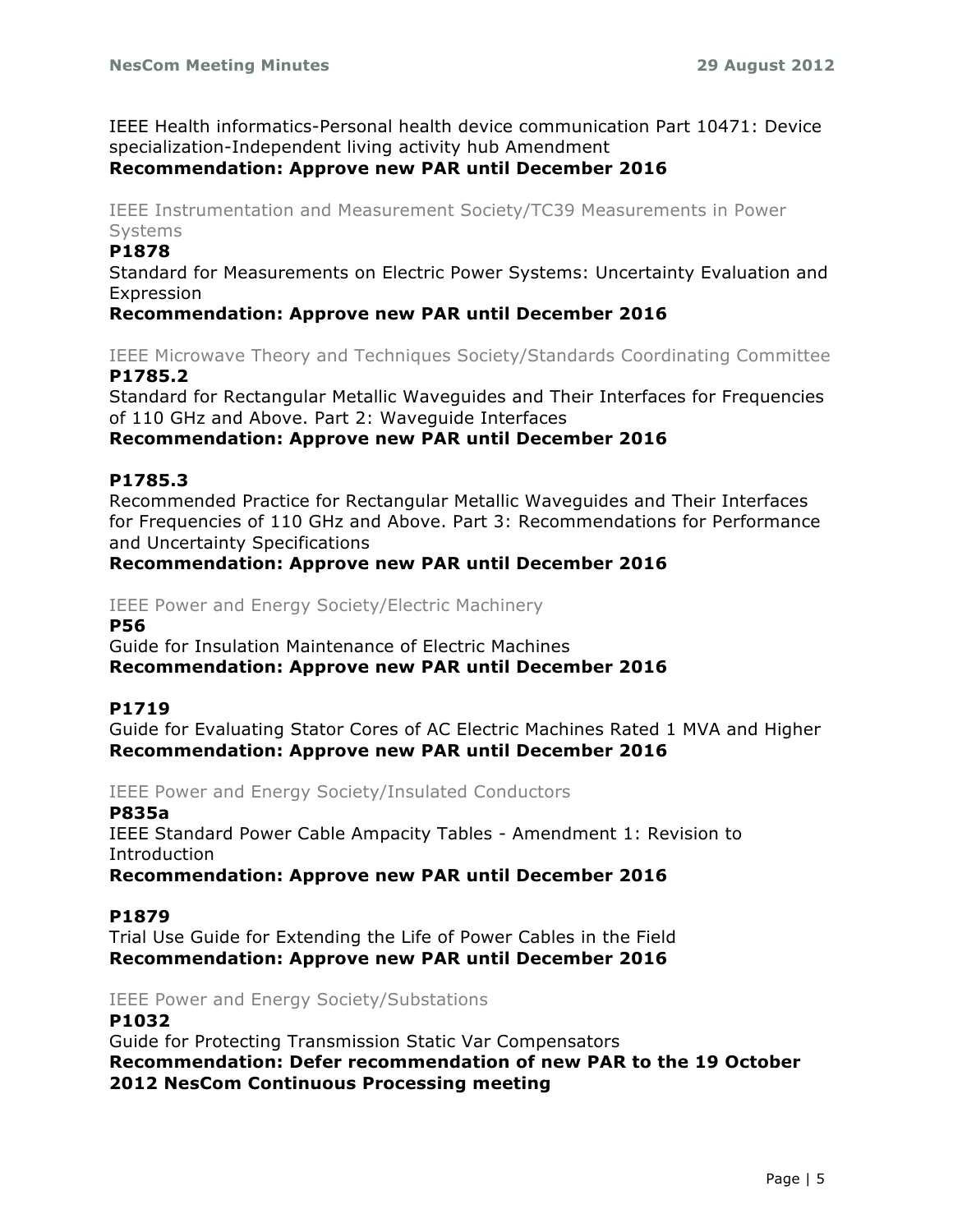IEEE Health informatics-Personal health device communication Part 10471: Device specialization-Independent living activity hub Amendment

## **Recommendation: Approve new PAR until December 2016**

IEEE Instrumentation and Measurement Society/TC39 Measurements in Power Systems

#### **P1878**

Standard for Measurements on Electric Power Systems: Uncertainty Evaluation and Expression

## **Recommendation: Approve new PAR until December 2016**

IEEE Microwave Theory and Techniques Society/Standards Coordinating Committee **P1785.2**

Standard for Rectangular Metallic Waveguides and Their Interfaces for Frequencies of 110 GHz and Above. Part 2: Waveguide Interfaces **Recommendation: Approve new PAR until December 2016**

#### **P1785.3**

Recommended Practice for Rectangular Metallic Waveguides and Their Interfaces for Frequencies of 110 GHz and Above. Part 3: Recommendations for Performance and Uncertainty Specifications

#### **Recommendation: Approve new PAR until December 2016**

IEEE Power and Energy Society/Electric Machinery

**P56**

Guide for Insulation Maintenance of Electric Machines **Recommendation: Approve new PAR until December 2016**

#### **P1719**

Guide for Evaluating Stator Cores of AC Electric Machines Rated 1 MVA and Higher **Recommendation: Approve new PAR until December 2016**

#### IEEE Power and Energy Society/Insulated Conductors

**P835a**

IEEE Standard Power Cable Ampacity Tables - Amendment 1: Revision to Introduction

**Recommendation: Approve new PAR until December 2016**

#### **P1879**

Trial Use Guide for Extending the Life of Power Cables in the Field **Recommendation: Approve new PAR until December 2016**

#### IEEE Power and Energy Society/Substations

#### **P1032**

Guide for Protecting Transmission Static Var Compensators **Recommendation: Defer recommendation of new PAR to the 19 October 2012 NesCom Continuous Processing meeting**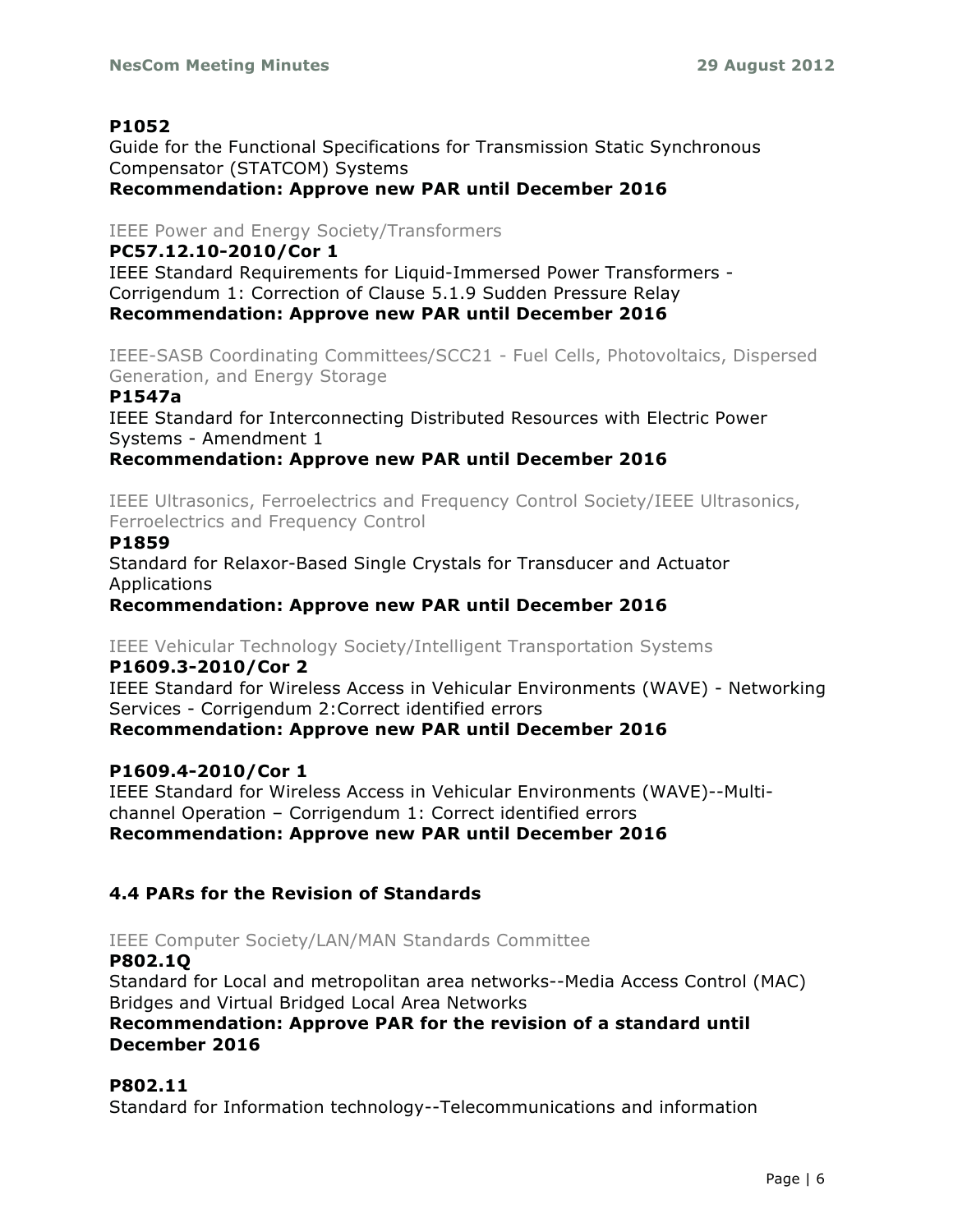# **P1052**

Guide for the Functional Specifications for Transmission Static Synchronous Compensator (STATCOM) Systems **Recommendation: Approve new PAR until December 2016**

# IEEE Power and Energy Society/Transformers

**PC57.12.10-2010/Cor 1**

IEEE Standard Requirements for Liquid-Immersed Power Transformers - Corrigendum 1: Correction of Clause 5.1.9 Sudden Pressure Relay **Recommendation: Approve new PAR until December 2016**

IEEE-SASB Coordinating Committees/SCC21 - Fuel Cells, Photovoltaics, Dispersed Generation, and Energy Storage

## **P1547a**

IEEE Standard for Interconnecting Distributed Resources with Electric Power Systems - Amendment 1

**Recommendation: Approve new PAR until December 2016**

IEEE Ultrasonics, Ferroelectrics and Frequency Control Society/IEEE Ultrasonics, Ferroelectrics and Frequency Control

#### **P1859**

Standard for Relaxor-Based Single Crystals for Transducer and Actuator **Applications** 

**Recommendation: Approve new PAR until December 2016**

IEEE Vehicular Technology Society/Intelligent Transportation Systems

#### **P1609.3-2010/Cor 2**

IEEE Standard for Wireless Access in Vehicular Environments (WAVE) - Networking Services - Corrigendum 2:Correct identified errors

# **Recommendation: Approve new PAR until December 2016**

## **P1609.4-2010/Cor 1**

IEEE Standard for Wireless Access in Vehicular Environments (WAVE)--Multichannel Operation – Corrigendum 1: Correct identified errors **Recommendation: Approve new PAR until December 2016**

# **4.4 PARs for the Revision of Standards**

IEEE Computer Society/LAN/MAN Standards Committee

#### **P802.1Q**

Standard for Local and metropolitan area networks--Media Access Control (MAC) Bridges and Virtual Bridged Local Area Networks

# **Recommendation: Approve PAR for the revision of a standard until December 2016**

## **P802.11**

Standard for Information technology--Telecommunications and information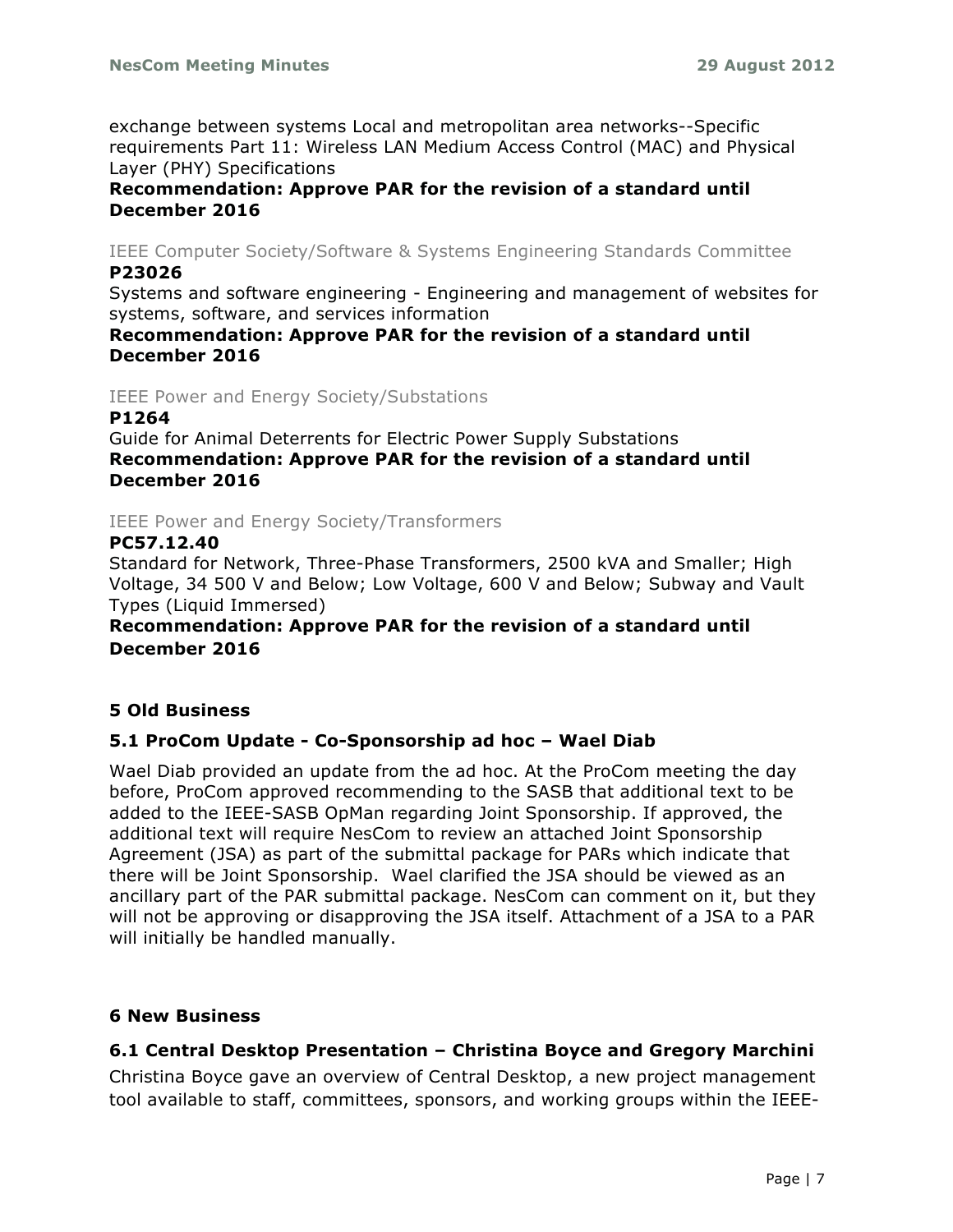exchange between systems Local and metropolitan area networks--Specific requirements Part 11: Wireless LAN Medium Access Control (MAC) and Physical Layer (PHY) Specifications

## **Recommendation: Approve PAR for the revision of a standard until December 2016**

IEEE Computer Society/Software & Systems Engineering Standards Committee **P23026**

Systems and software engineering - Engineering and management of websites for systems, software, and services information

## **Recommendation: Approve PAR for the revision of a standard until December 2016**

IEEE Power and Energy Society/Substations

#### **P1264**

Guide for Animal Deterrents for Electric Power Supply Substations **Recommendation: Approve PAR for the revision of a standard until December 2016**

IEEE Power and Energy Society/Transformers

#### **PC57.12.40**

Standard for Network, Three-Phase Transformers, 2500 kVA and Smaller; High Voltage, 34 500 V and Below; Low Voltage, 600 V and Below; Subway and Vault Types (Liquid Immersed)

## **Recommendation: Approve PAR for the revision of a standard until December 2016**

# **5 Old Business**

## **5.1 ProCom Update - Co-Sponsorship ad hoc – Wael Diab**

Wael Diab provided an update from the ad hoc. At the ProCom meeting the day before, ProCom approved recommending to the SASB that additional text to be added to the IEEE-SASB OpMan regarding Joint Sponsorship. If approved, the additional text will require NesCom to review an attached Joint Sponsorship Agreement (JSA) as part of the submittal package for PARs which indicate that there will be Joint Sponsorship. Wael clarified the JSA should be viewed as an ancillary part of the PAR submittal package. NesCom can comment on it, but they will not be approving or disapproving the JSA itself. Attachment of a JSA to a PAR will initially be handled manually.

## **6 New Business**

# **6.1 Central Desktop Presentation – Christina Boyce and Gregory Marchini**

Christina Boyce gave an overview of Central Desktop, a new project management tool available to staff, committees, sponsors, and working groups within the IEEE-